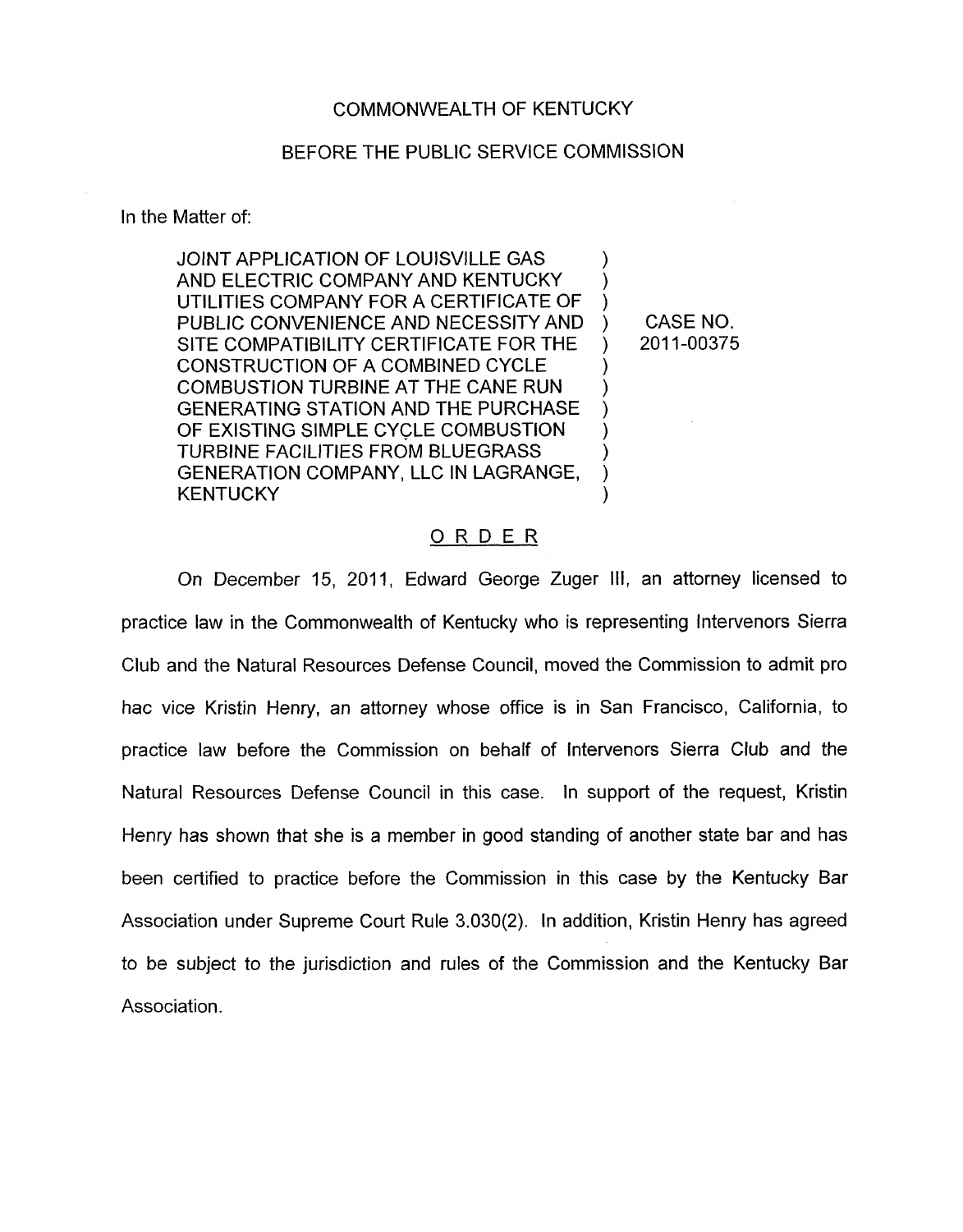## COMMONWEALTH OF KENTUCKY

## BEFORE THE PUBLIC SERVICE COMMISSION

In the Matter of:

JOINT APPLICATION OF LOUISVILLE GAS AND ELECTRIC COMPANY AND KENTUCKY UTILITIES COMPANY FOR A CERTIFICATE OF PUBLIC CONVENIENCE AND NECESSITY AND SITE COMPATIBILITY CERTIFICATE FOR THE CONSTRUCTION OF A COMBINED CYCLE COMBUSTION TURBINE AT THE CANE RUN GENERATING STATION AND THE PURCHASE OF EXISTING SIMPLE CYCLE COMBUSTION TURBINE FACILITIES FROM BLUEGRASS GENERATION COMPANY, LLC IN LAGRANGE, KENTUCKY  $\sum_{i=1}^{n}$ ) )  $)$ )  $\sum_{i=1}^{n}$  $\sum_{i=1}^{n}$  $\sum_{i=1}^{n}$  $\sum$ )

CASE NO. ) 2011-00375

## ORDER

On December 15, 2011, Edward George Zuger **111,** an attorney licensed to practice law in the Commonwealth of Kentucky who is representing Intervenors Sierra Club and the Natural Resources Defense Council, moved the Commission to admit pro hac vice Kristin Henry, an attorney whose office is in San Francisco, California, to practice law before the Commission on behalf of Intervenors Sierra Club and the Natural Resources Defense Council in this case. In support of the request, Kristin Henry has shown that she is a member in good standing of another state bar and has been certified to practice before the Commission in this case by the Kentucky Bar Association under Supreme Court Rule 3.030(2). In addition, Kristin Henry has agreed to be subject to the jurisdiction and rules of the Commission and the Kentucky Bar Association.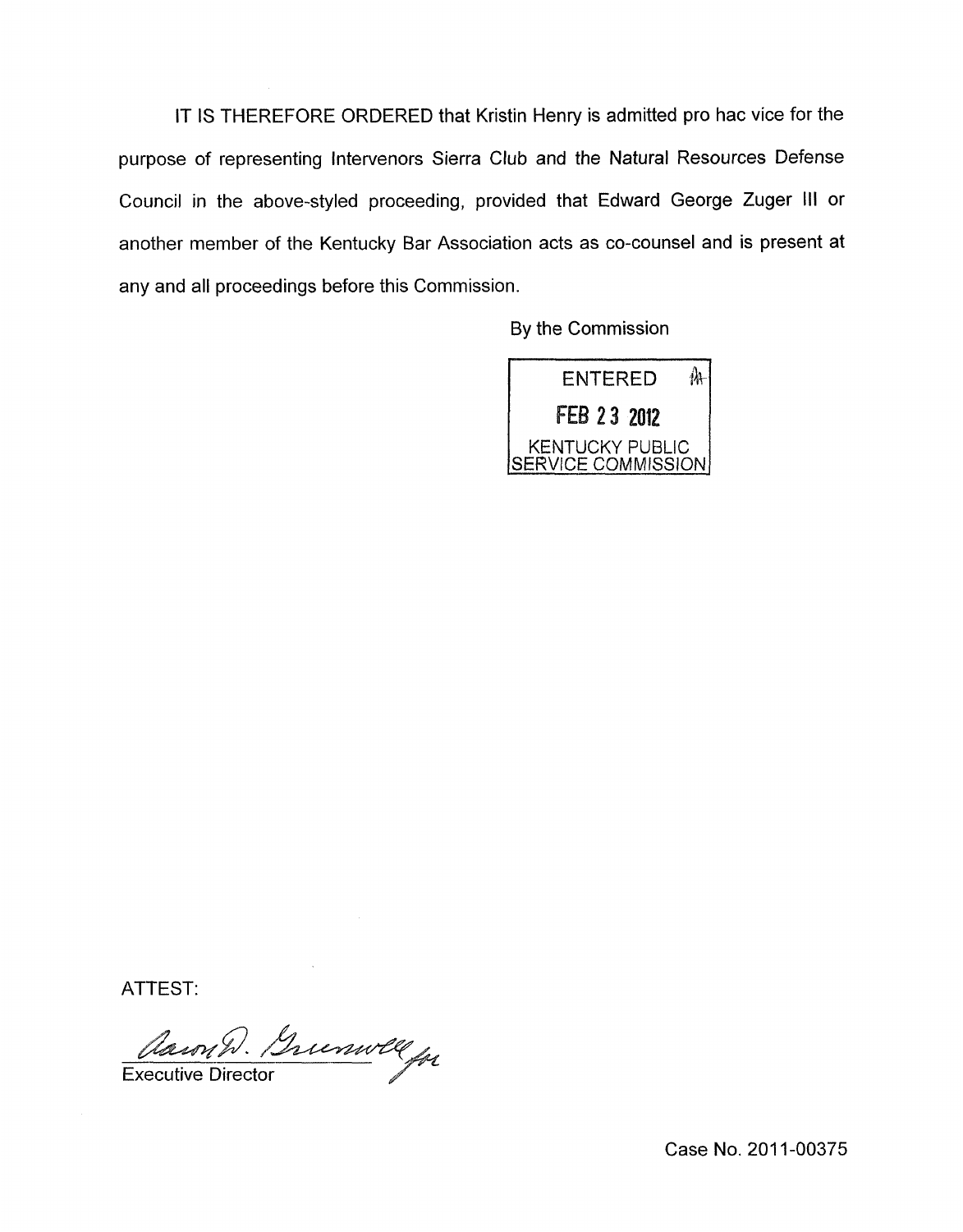IT IS THEREFORE ORDERED that Kristin Henry is admitted pro hac vice for the purpose of representing Intervenors Sierra Club and the Natural Resources Defense Council in the above-styled proceeding, provided that Edward George Zuger **Ill** or another member of the Kentucky Bar Association acts as co-counsel and is present at any and all proceedings before this Commission.

By the Commission



ATTEST:

Clawn D. Buenwell

Case No. 2011-00375